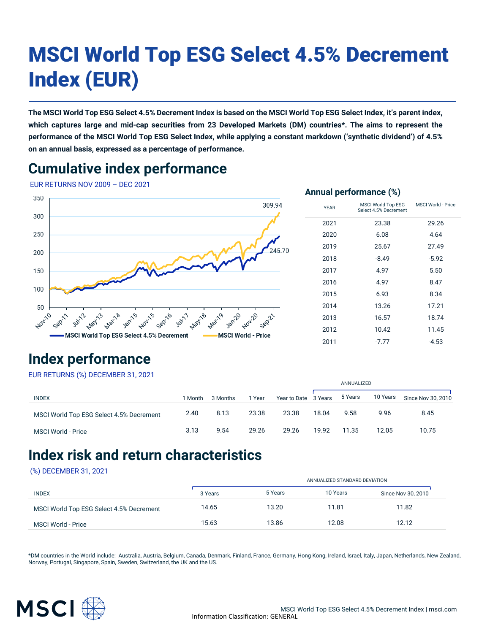# MSCI World Top ESG Select 4.5% Decrement Index (EUR)

**The MSCI World Top ESG Select 4.5% Decrement Index is based on the MSCI World Top ESG Select Index, it's parent index, which captures large and mid-cap securities from 23 Developed Markets (DM) countries\*. The aims to represent the performance of the MSCI World Top ESG Select Index, while applying a constant markdown ('synthetic dividend') of 4.5% on an annual basis, expressed as a percentage of performance.**

### **Cumulative index performance**

EUR RETURNS NOV 2009 – DEC 2021



#### **Annual performance (%)**

| <b>YEAR</b> | MSCI World Top ESG<br>Select 4.5% Decrement | MSCI World - Price |  |  |
|-------------|---------------------------------------------|--------------------|--|--|
| 2021        | 23.38                                       | 29.26              |  |  |
| 2020        | 6.08                                        | 4.64               |  |  |
| 2019        | 25.67                                       | 27.49              |  |  |
| 2018        | $-8.49$                                     | $-5.92$            |  |  |
| 2017        | 4.97                                        | 5.50               |  |  |
| 2016        | 4.97                                        | 8.47               |  |  |
| 2015        | 6.93                                        | 8.34               |  |  |
| 2014        | 13.26                                       | 17.21              |  |  |
| 2013        | 16.57                                       | 18.74              |  |  |
| 2012        | 10.42                                       | 11.45              |  |  |
| 2011        | $-7.77$                                     | $-4.53$            |  |  |

### **Index performance**

EUR RETURNS (%) DECEMBER 31, 2021

|                                          |         |          |       |                      |       | ANNUALIZED |          |                    |  |
|------------------------------------------|---------|----------|-------|----------------------|-------|------------|----------|--------------------|--|
| <b>INDEX</b>                             | 1 Month | 3 Months | Year  | Year to Date 3 Years |       | 5 Years    | 10 Years | Since Nov 30, 2010 |  |
| MSCI World Top ESG Select 4.5% Decrement | 2.40    | 8.13     | 23.38 | 23.38                | 18.04 | 9.58       | 9.96     | 8.45               |  |
| <b>MSCI World - Price</b>                | 3.13    | 9.54     | 29.26 | 29.26                | 19.92 | 11.35      | 12.05    | 10.75              |  |

### **Index risk and return characteristics**

#### (%) DECEMBER 31, 2021

| ANNUALIZED STANDARD DEVIATION |         |          |                    |  |  |
|-------------------------------|---------|----------|--------------------|--|--|
| 3 Years                       | 5 Years | 10 Years | Since Nov 30, 2010 |  |  |
| 14.65                         | 13.20   | 11.81    | 11.82              |  |  |
| 15.63                         | 13.86   | 12.08    | 12.12              |  |  |
|                               |         |          |                    |  |  |

\*DM countries in the World include: Australia, Austria, Belgium, Canada, Denmark, Finland, France, Germany, Hong Kong, Ireland, Israel, Italy, Japan, Netherlands, New Zealand, Norway, Portugal, Singapore, Spain, Sweden, Switzerland, the UK and the US.